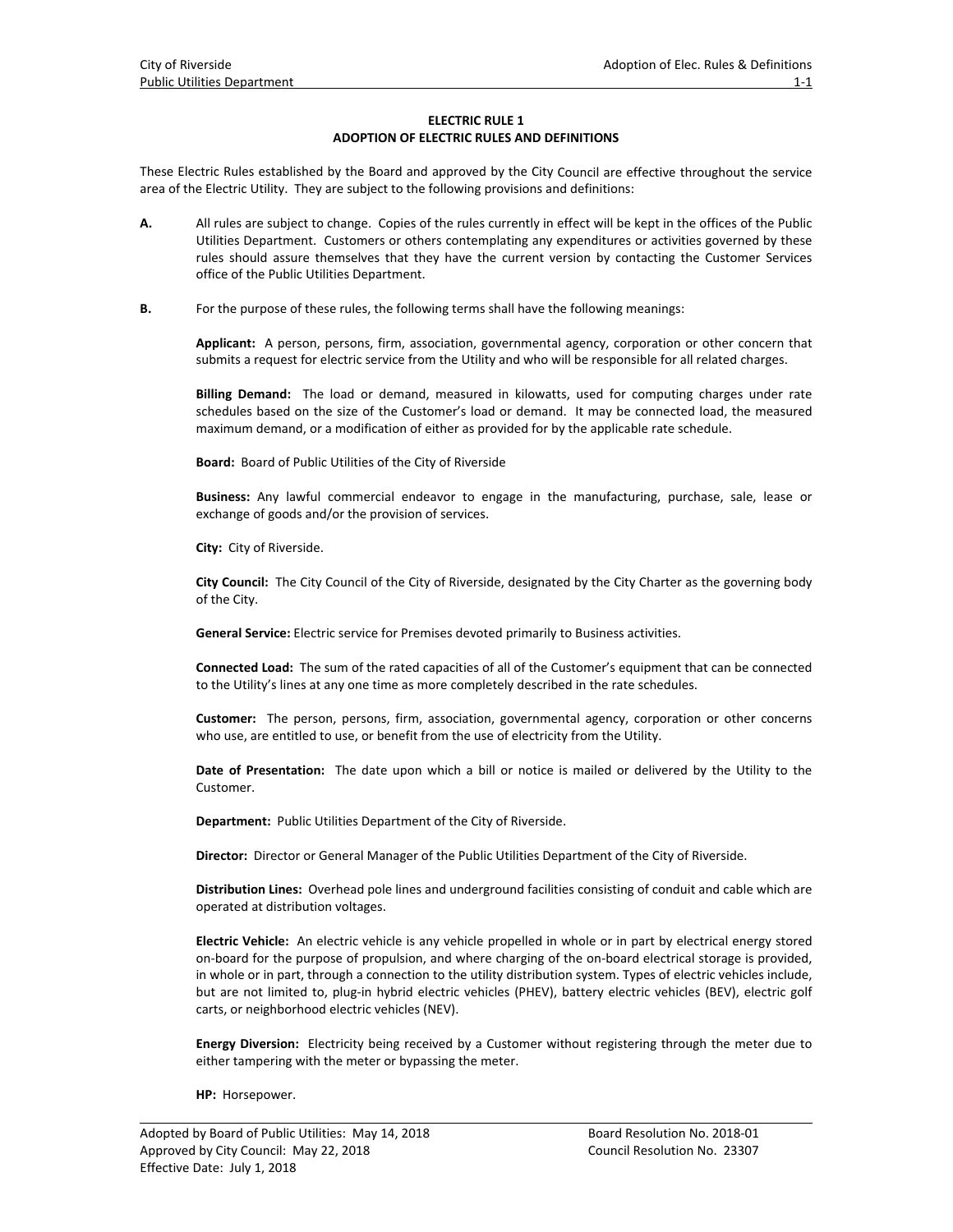## **ELECTRIC RULE 1 ADOPTION OF ELECTRIC RULES AND DEFINITIONS**

These Electric Rules established by the Board and approved by the City Council are effective throughout the service area of the Electric Utility. They are subject to the following provisions and definitions:

- **A.** All rules are subject to change. Copies of the rules currently in effect will be kept in the offices of the Public Utilities Department. Customers or others contemplating any expenditures or activities governed by these rules should assure themselves that they have the current version by contacting the Customer Services office of the Public Utilities Department.
- **B.** For the purpose of these rules, the following terms shall have the following meanings:

**Applicant:** A person, persons, firm, association, governmental agency, corporation or other concern that submits a request for electric service from the Utility and who will be responsible for all related charges.

**Billing Demand:** The load or demand, measured in kilowatts, used for computing charges under rate schedules based on the size of the Customer's load or demand. It may be connected load, the measured maximum demand, or a modification of either as provided for by the applicable rate schedule.

**Board:** Board of Public Utilities of the City of Riverside

**Business:** Any lawful commercial endeavor to engage in the manufacturing, purchase, sale, lease or exchange of goods and/or the provision of services.

**City:** City of Riverside.

**City Council:** The City Council of the City of Riverside, designated by the City Charter as the governing body of the City.

**General Service:** Electric service for Premises devoted primarily to Business activities.

**Connected Load:** The sum of the rated capacities of all of the Customer's equipment that can be connected to the Utility's lines at any one time as more completely described in the rate schedules.

**Customer:** The person, persons, firm, association, governmental agency, corporation or other concerns who use, are entitled to use, or benefit from the use of electricity from the Utility.

**Date of Presentation:** The date upon which a bill or notice is mailed or delivered by the Utility to the Customer.

**Department:** Public Utilities Department of the City of Riverside.

**Director:** Director or General Manager of the Public Utilities Department of the City of Riverside.

**Distribution Lines:** Overhead pole lines and underground facilities consisting of conduit and cable which are operated at distribution voltages.

**Electric Vehicle:** An electric vehicle is any vehicle propelled in whole or in part by electrical energy stored on‐board for the purpose of propulsion, and where charging of the on‐board electrical storage is provided, in whole or in part, through a connection to the utility distribution system. Types of electric vehicles include, but are not limited to, plug‐in hybrid electric vehicles (PHEV), battery electric vehicles (BEV), electric golf carts, or neighborhood electric vehicles (NEV).

**Energy Diversion:** Electricity being received by a Customer without registering through the meter due to either tampering with the meter or bypassing the meter.

**HP:** Horsepower.

 $\overline{a}$